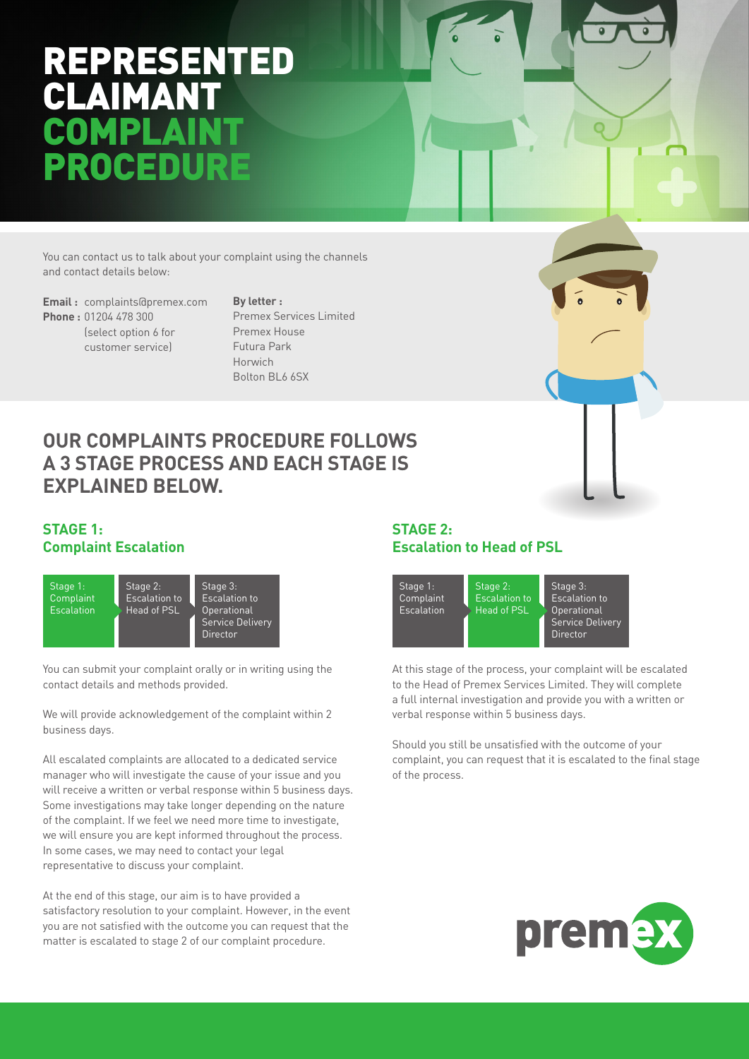## REPRESENTED CLAIMAN OMP ROCE

You can contact us to talk about your complaint using the channels and contact details below:

**Email :** complaints@premex.com **Phone :** 01204 478 300 (select option 6 for customer service)

**By letter :**  Premex Services Limited Premex House Futura Park Horwich Bolton BL6 6SX

## **OUR COMPLAINTS PROCEDURE FOLLOWS A 3 STAGE PROCESS AND EACH STAGE IS EXPLAINED BELOW.**

#### **STAGE 1: Complaint Escalation**



You can submit your complaint orally or in writing using the contact details and methods provided.

We will provide acknowledgement of the complaint within 2 business days.

All escalated complaints are allocated to a dedicated service manager who will investigate the cause of your issue and you will receive a written or verbal response within 5 business days. Some investigations may take longer depending on the nature of the complaint. If we feel we need more time to investigate, we will ensure you are kept informed throughout the process. In some cases, we may need to contact your legal representative to discuss your complaint.

At the end of this stage, our aim is to have provided a satisfactory resolution to your complaint. However, in the event you are not satisfied with the outcome you can request that the matter is escalated to stage 2 of our complaint procedure.

#### **STAGE 2: Escalation to Head of PSL**



At this stage of the process, your complaint will be escalated to the Head of Premex Services Limited. They will complete a full internal investigation and provide you with a written or verbal response within 5 business days.

Should you still be unsatisfied with the outcome of your complaint, you can request that it is escalated to the final stage of the process.